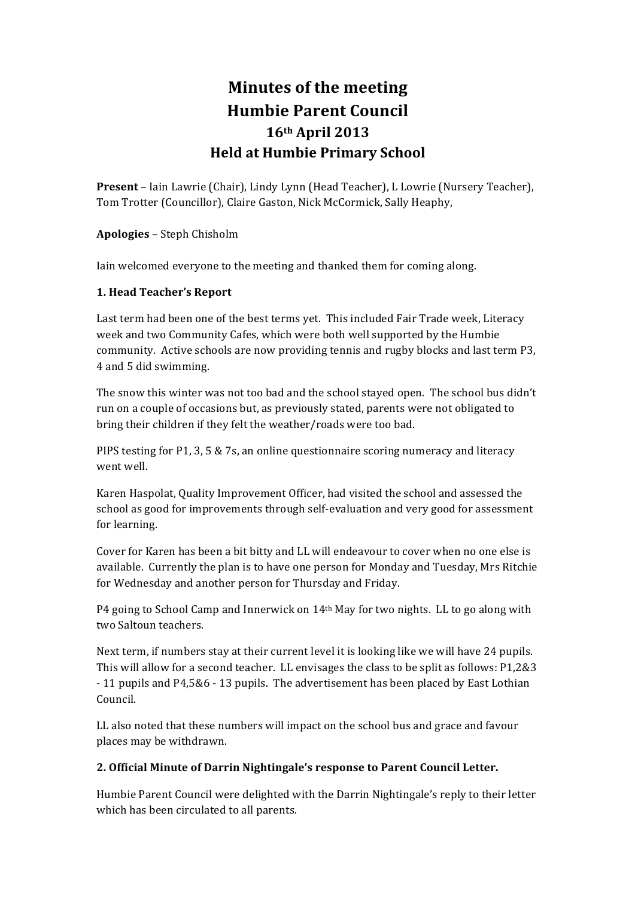# **Minutes of the meeting Humbie Parent Council 16th April 2013 Held at Humbie Primary School**

**Present** – Iain Lawrie (Chair), Lindy Lynn (Head Teacher), L Lowrie (Nursery Teacher), Tom Trotter (Councillor), Claire Gaston, Nick McCormick, Sally Heaphy,

**Apologies** – Steph Chisholm

Iain welcomed everyone to the meeting and thanked them for coming along.

# **1. Head Teacher's Report**

Last term had been one of the best terms yet. This included Fair Trade week, Literacy week and two Community Cafes, which were both well supported by the Humbie community. Active schools are now providing tennis and rugby blocks and last term P3, 4 and 5 did swimming.

The snow this winter was not too bad and the school stayed open. The school bus didn't run on a couple of occasions but, as previously stated, parents were not obligated to bring their children if they felt the weather/roads were too bad.

PIPS testing for P1, 3, 5 & 7s, an online questionnaire scoring numeracy and literacy went well.

Karen Haspolat, Quality Improvement Officer, had visited the school and assessed the school as good for improvements through self-evaluation and very good for assessment for learning.

Cover for Karen has been a bit bitty and LL will endeavour to cover when no one else is available. Currently the plan is to have one person for Monday and Tuesday, Mrs Ritchie for Wednesday and another person for Thursday and Friday.

P4 going to School Camp and Innerwick on  $14<sup>th</sup>$  May for two nights. LL to go along with two Saltoun teachers.

Next term, if numbers stay at their current level it is looking like we will have 24 pupils. This will allow for a second teacher. LL envisages the class to be split as follows: P1,2&3 - 11 pupils and P4,5&6 - 13 pupils. The advertisement has been placed by East Lothian Council.

LL also noted that these numbers will impact on the school bus and grace and favour places may be withdrawn.

### **2. Official Minute of Darrin Nightingale's response to Parent Council Letter.**

Humbie Parent Council were delighted with the Darrin Nightingale's reply to their letter which has been circulated to all parents.